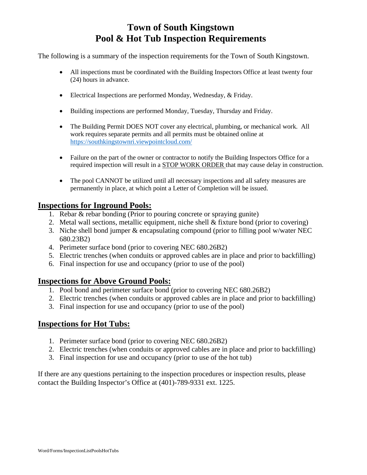## **Town of South Kingstown Pool & Hot Tub Inspection Requirements**

The following is a summary of the inspection requirements for the Town of South Kingstown.

- All inspections must be coordinated with the Building Inspectors Office at least twenty four (24) hours in advance.
- Electrical Inspections are performed Monday, Wednesday, & Friday.
- Building inspections are performed Monday, Tuesday, Thursday and Friday.
- The Building Permit DOES NOT cover any electrical, plumbing, or mechanical work. All work requires separate permits and all permits must be obtained online at https://southkingstownri.viewpointcloud.com/
- Failure on the part of the owner or contractor to notify the Building Inspectors Office for a required inspection will result in a STOP WORK ORDER that may cause delay in construction.
- The pool CANNOT be utilized until all necessary inspections and all safety measures are permanently in place, at which point a Letter of Completion will be issued.

### **Inspections for Inground Pools:**

- 1. Rebar & rebar bonding (Prior to pouring concrete or spraying gunite)
- 2. Metal wall sections, metallic equipment, niche shell & fixture bond (prior to covering)
- 3. Niche shell bond jumper & encapsulating compound (prior to filling pool w/water NEC 680.23B2)
- 4. Perimeter surface bond (prior to covering NEC 680.26B2)
- 5. Electric trenches (when conduits or approved cables are in place and prior to backfilling)
- 6. Final inspection for use and occupancy (prior to use of the pool)

#### **Inspections for Above Ground Pools:**

- 1. Pool bond and perimeter surface bond (prior to covering NEC 680.26B2)
- 2. Electric trenches (when conduits or approved cables are in place and prior to backfilling)
- 3. Final inspection for use and occupancy (prior to use of the pool)

#### **Inspections for Hot Tubs:**

- 1. Perimeter surface bond (prior to covering NEC 680.26B2)
- 2. Electric trenches (when conduits or approved cables are in place and prior to backfilling)
- 3. Final inspection for use and occupancy (prior to use of the hot tub)

If there are any questions pertaining to the inspection procedures or inspection results, please contact the Building Inspector's Office at (401)-789-9331 ext. 1225.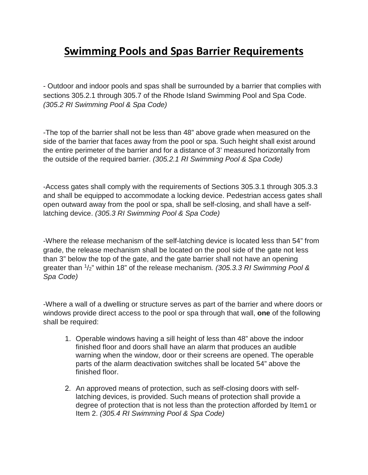# **Swimming Pools and Spas Barrier Requirements**

- Outdoor and indoor pools and spas shall be surrounded by a barrier that complies with sections 305.2.1 through 305.7 of the Rhode Island Swimming Pool and Spa Code. *(305.2 RI Swimming Pool & Spa Code)*

-The top of the barrier shall not be less than 48" above grade when measured on the side of the barrier that faces away from the pool or spa. Such height shall exist around the entire perimeter of the barrier and for a distance of 3' measured horizontally from the outside of the required barrier. *(305.2.1 RI Swimming Pool & Spa Code)*

-Access gates shall comply with the requirements of Sections 305.3.1 through 305.3.3 and shall be equipped to accommodate a locking device. Pedestrian access gates shall open outward away from the pool or spa, shall be self-closing, and shall have a selflatching device. *(305.3 RI Swimming Pool & Spa Code)*

-Where the release mechanism of the self-latching device is located less than 54" from grade, the release mechanism shall be located on the pool side of the gate not less than 3" below the top of the gate, and the gate barrier shall not have an opening greater than <sup>1</sup> /2" within 18" of the release mechanism*. (305.3.3 RI Swimming Pool & Spa Code)*

-Where a wall of a dwelling or structure serves as part of the barrier and where doors or windows provide direct access to the pool or spa through that wall, **one** of the following shall be required:

- 1. Operable windows having a sill height of less than 48" above the indoor finished floor and doors shall have an alarm that produces an audible warning when the window, door or their screens are opened. The operable parts of the alarm deactivation switches shall be located 54" above the finished floor.
- 2. An approved means of protection, such as self-closing doors with selflatching devices, is provided. Such means of protection shall provide a degree of protection that is not less than the protection afforded by Item1 or Item 2. *(305.4 RI Swimming Pool & Spa Code)*